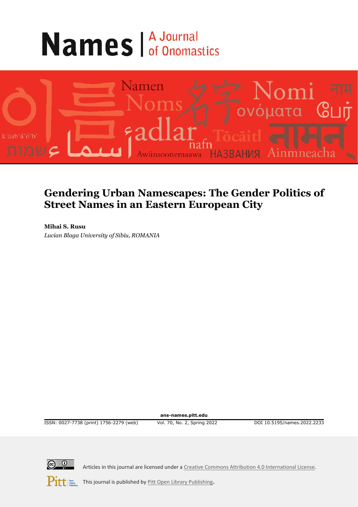# **Names A Journal**



# **Gendering Urban Namescapes: The Gender Politics of Street Names in an Eastern European City**

**Mihai S. Rusu** *Lucian Blaga University of Sibiu, ROMANIA*

**ans-names.pitt.edu**

ISSN: 0027-7738 (print) 1756-2279 (web) Vol. 70, No. 2, Spring 2022 DOI 10.5195/names.2022.2233



Articles in this journal are licensed under [a Creative Commons Attribution 4.0 International License.](https://creativecommons.org/licenses/by/4.0/)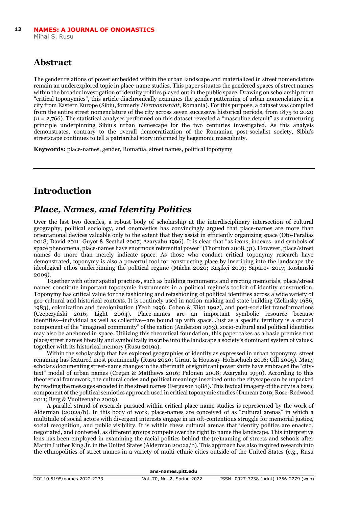# **Abstract**

The gender relations of power embedded within the urban landscape and materialized in street nomenclature remain an underexplored topic in place-name studies. This paper situates the gendered spaces of street names within the broader investigation of identity politics played out in the public space. Drawing on scholarship from "critical toponymies", this article diachronically examines the gender patterning of urban nomenclature in a city from Eastern Europe (Sibiu, formerly *Hermannstadt*, Romania). For this purpose, a dataset was compiled from the entire street nomenclature of the city across seven successive historical periods, from 1875 to 2020 (*n* = 2,766). The statistical analyses performed on this dataset revealed a "masculine default" as a structuring principle underpinning Sibiu's urban namescape for the two centuries investigated. As this analysis demonstrates, contrary to the overall democratization of the Romanian post-socialist society, Sibiu's streetscape continues to tell a patriarchal story informed by hegemonic masculinity.

**Keywords:** place-names, gender, Romania, street names, political toponymy

# **Introduction**

# *Place, Names, and Identity Politics*

Over the last two decades, a robust body of scholarship at the interdisciplinary intersection of cultural geography, political sociology, and onomastics has convincingly argued that place-names are more than orientational devices valuable only to the extent that they assist in efficiently organizing space (Oto-Peralías 2018; David 2011; Guyot & Seethal 2007; Azaryahu 1996). It is clear that "as icons, indexes, and symbols of space phenomena, place-names have enormous referential power" (Thornton 2008, 31). However, place/street names do more than merely indicate space. As those who conduct critical toponymy research have demonstrated, toponymy is also a powerful tool for constructing place by inscribing into the landscape the ideological ethos underpinning the political regime (Mácha 2020; Kaşikçi 2019; Saparov 2017; Kostanski 2009).

Together with other spatial practices, such as building monuments and erecting memorials, place/street names constitute important toponymic instruments in a political regime's toolkit of identity construction. Toponymy has critical value for the fashioning and refashioning of political identities across a wide variety of geo-cultural and historical contexts. It is routinely used in nation-making and state-building (Zelinsky 1986, 1983), colonization and decolonization (Yeoh 1996; Cohen & Kliot 1992), and post-socialist transformations (Czepczyński 2016; Light 2004). Place-names are an important symbolic resource because identities—individual as well as collective—are bound up with space. Just as a specific territory is a crucial component of the "imagined community" of the nation (Anderson 1983), socio-cultural and political identities may also be anchored in space. Utilizing this theoretical foundation, this paper takes as a basic premise that place/street names literally and symbolically inscribe into the landscape a society's dominant system of values, together with its historical memory (Rusu 2019a).

Within the scholarship that has explored geographies of identity as expressed in urban toponymy, street renaming has featured most prominently (Rusu 2020; Giraut & Houssay-Holzschuch 2016; Gill 2005). Many scholars documenting street-name changes in the aftermath of significant power shifts have embraced the "citytext" model of urban names (Crețan & Matthews 2016; Palonen 2008; Azaryahu 1990). According to this theoretical framework, the cultural codes and political meanings inscribed onto the cityscape can be unpacked by reading the messages encoded in the street names (Ferguson 1988). This textual imagery of the city is a basic component of the political semiotics approach used in critical toponymic studies (Duncan 2019; Rose-Redwood 2011; Berg & Vuolteenaho 2009).

A parallel strand of research pursued within critical place-name studies is represented by the work of Alderman (2002a/b). In this body of work, place-names are conceived of as "cultural arenas" in which a multitude of social actors with divergent interests engage in an oft-contentious struggle for memorial justice, social recognition, and public visibility. It is within these cultural arenas that identity politics are enacted, negotiated, and contested, as different groups compete over the right to name the landscape. This interpretive lens has been employed in examining the racial politics behind the (re)naming of streets and schools after Martin Luther King Jr. in the United States (Alderman 2002a/b). This approach has also inspired research into the ethnopolitics of street names in a variety of multi-ethnic cities outside of the United States (e.g., Rusu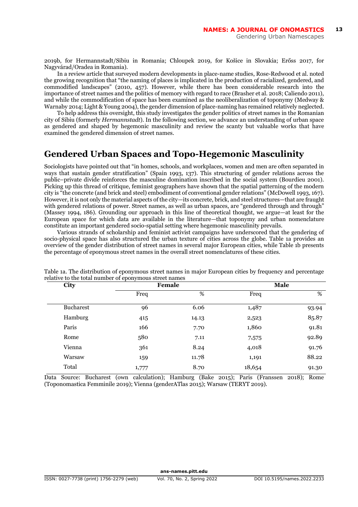2019b, for Hermannstadt/Sibiu in Romania; Chloupek 2019, for Košice in Slovakia; Erőss 2017, for Nagyvárad/Oradea in Romania).

In a review article that surveyed modern developments in place-name studies, Rose-Redwood et al. noted the growing recognition that "the naming of places is implicated in the production of racialized, gendered, and commodified landscapes" (2010, 457). However, while there has been considerable research into the importance of street names and the politics of memory with regard to race (Brasher et al. 2018; Caliendo 2011), and while the commodification of space has been examined as the neoliberalization of toponymy (Medway & Warnaby 2014; Light & Young 2004), the gender dimension of place-naming has remained relatively neglected.

To help address this oversight, this study investigates the gender politics of street names in the Romanian city of Sibiu (formerly *Hermannstadt*). In the following section, we advance an understanding of urban space as gendered and shaped by hegemonic masculinity and review the scanty but valuable works that have examined the gendered dimension of street names.

# **Gendered Urban Spaces and Topo-Hegemonic Masculinity**

Sociologists have pointed out that "in homes, schools, and workplaces, women and men are often separated in ways that sustain gender stratification" (Spain 1993, 137). This structuring of gender relations across the public–private divide reinforces the masculine domination inscribed in the social system (Bourdieu 2001). Picking up this thread of critique, feminist geographers have shown that the spatial patterning of the modern city is "the concrete (and brick and steel) embodiment of conventional gender relations" (McDowell 1993, 167). However, it is not only the material aspects of the city—its concrete, brick, and steel structures—that are fraught with gendered relations of power. Street names, as well as urban spaces, are "gendered through and through" (Massey 1994, 186). Grounding our approach in this line of theoretical thought, we argue—at least for the European space for which data are available in the literature—that toponymy and urban nomenclature constitute an important gendered socio-spatial setting where hegemonic masculinity prevails.

Various strands of scholarship and feminist activist campaigns have underscored that the gendering of socio-physical space has also structured the urban texture of cities across the globe. Table 1a provides an overview of the gender distribution of street names in several major European cities, while Table 1b presents the percentage of eponymous street names in the overall street nomenclatures of these cities.

| City      | Female |       | Male   |       |
|-----------|--------|-------|--------|-------|
|           | Freq   | %     | Freq   | %     |
| Bucharest | 96     | 6.06  | 1,487  | 93.94 |
| Hamburg   | 415    | 14.13 | 2,523  | 85.87 |
| Paris     | 166    | 7.70  | 1,860  | 91.81 |
| Rome      | 580    | 7.11  | 7,575  | 92.89 |
| Vienna    | 361    | 8.24  | 4,018  | 91.76 |
| Warsaw    | 159    | 11.78 | 1,191  | 88.22 |
| Total     | 1,777  | 8.70  | 18,654 | 91.30 |
|           |        |       |        |       |

Table 1a. The distribution of eponymous street names in major European cities by frequency and percentage relative to the total number of eponymous street names

Data Source: Bucharest (own calculation); Hamburg (Bake 2015); Paris (Franssen 2018); Rome (Toponomastica Femminile 2019); Vienna (genderATlas 2015); Warsaw (TERYT 2019).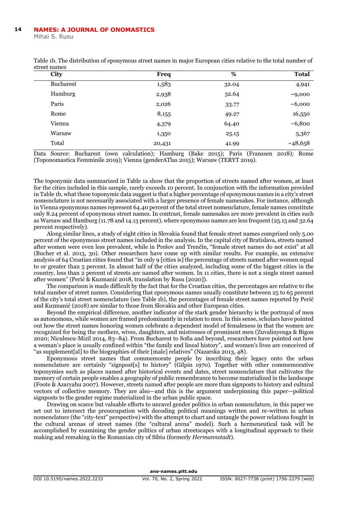#### **NAMES: A JOURNAL OF ONOMASTICS 14**

Mihai S. Rusu

| City             | Freq   | %     | <b>Total</b> |
|------------------|--------|-------|--------------|
| <b>Bucharest</b> | 1,583  | 32.04 | 4,941        |
| Hamburg          | 2,938  | 32.64 | ~10,000      |
| Paris            | 2,026  | 33.77 | ~1000        |
| Rome             | 8,155  | 49.27 | 16,550       |
| Vienna           | 4,379  | 64.40 | ~10,800      |
| Warsaw           | 1,350  | 25.15 | 5,367        |
| Total            | 20,431 | 41.99 | ~148,658     |
|                  |        |       |              |

Table 1b. The distribution of eponymous street names in major European cities relative to the total number of street names

Data Source: Bucharest (own calculation); Hamburg (Bake 2015); Paris (Franssen 2018); Rome (Toponomastica Femminile 2019); Vienna (genderATlas 2015); Warsaw (TERYT 2019).

The toponymic data summarized in Table 1a show that the proportion of streets named after women, at least for the cities included in this sample, rarely exceeds 10 percent. In conjunction with the information provided in Table 1b, what these toponymic data suggest is that a higher percentage of eponymous names in a city's street nomenclature is not necessarily associated with a larger presence of female namesakes. For instance, although in Vienna eponymous names represent 64.40 percent of the total street nomenclature, female names constitute only 8.24 percent of eponymous street names. In contrast, female namesakes are more prevalent in cities such as Warsaw and Hamburg (11.78 and 14.13 percent), where eponymous names are less frequent (25.15 and 32.64 percent respectively).

Along similar lines, a study of eight cities in Slovakia found that female street names comprised only 5.00 percent of the eponymous street names included in the analysis. In the capital city of Bratislava, streets named after women were even less prevalent, while in Prešov and Trenčín, "female street names do not exist" at all (Bucher et al. 2013, 30). Other researchers have come up with similar results. For example, an extensive analysis of 64 Croatian cities found that "in only 9 [cities is] the percentage of streets named after women equal to or greater than 5 percent. In almost half of the cities analyzed, including some of the biggest cities in the country, less than 2 percent of streets are named after women. In 11 cities, there is not a single street named after women" (Perić & Kuzmanić 2018, translation by Rusu [2020]).

The comparison is made difficult by the fact that for the Croatian cities, the percentages are relative to the total number of street names. Considering that eponymous names usually constitute between 25 to 65 percent of the city's total street nomenclature (see Table 1b), the percentages of female street names reported by Perić and Kuzmanić (2018) are similar to those from Slovakia and other European cities.

Beyond the empirical difference, another indicator of the stark gender hierarchy is the portrayal of men as autonomous, while women are framed predominantly in relation to men. In this sense, scholars have pointed out how the street names honoring women celebrate a dependent model of femaleness in that the women are recognized for being the mothers, wives, daughters, and mistresses of prominent men (Zuvalinyenga & Bigon 2020; Niculescu-Mizil 2014, 83–84). From Bucharest to Sofia and beyond, researchers have pointed out how a woman's place is usually confined within "the family and lineal history", and women's lives are conceived of "as supplement[al] to the biographies of their [male] relatives" (Nazarska 2013, 48).

Eponymous street names that commemorate people by inscribing their legacy onto the urban nomenclature are certainly "signpost[s] to history" (Gilpin 1970). Together with other commemorative toponymies such as places named after historical events and dates, street nomenclature that cultivates the memory of certain people enables a geography of public remembrance to become materialized in the landscape (Foote & Azaryahu 2007). However, streets named after people are more than signposts to history and cultural vectors of collective memory. They are also—and this is the argument underpinning this paper—political signposts to the gender regime materialized in the urban public space.

Drawing on scarce but valuable efforts to unravel gender politics in urban nomenclature, in this paper we set out to intersect the preoccupation with decoding political meanings written and re-written in urban nomenclature (the "city-text" perspective) with the attempt to chart and untangle the power relations fought in the cultural arenas of street names (the "cultural arena" model). Such a hermeneutical task will be accomplished by examining the gender politics of urban streetscapes with a longitudinal approach to their making and remaking in the Romanian city of Sibiu (formerly *Hermannstadt*).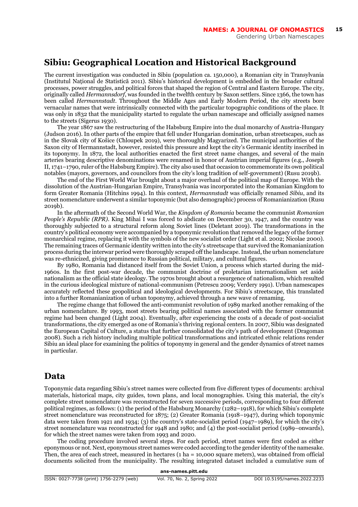# **Sibiu: Geographical Location and Historical Background**

The current investigation was conducted in Sibiu (population ca. 150,000), a Romanian city in Transylvania (Institutul Național de Statistică 2011). Sibiu's historical development is embedded in the broader cultural processes, power struggles, and political forces that shaped the region of Central and Eastern Europe. The city, originally called *Hermannsdorf*, was founded in the twelfth century by Saxon settlers. Since 1366, the town has been called *Hermannstadt*. Throughout the Middle Ages and Early Modern Period, the city streets bore vernacular names that were intrinsically connected with the particular topographic conditions of the place. It was only in 1832 that the municipality started to regulate the urban namescape and officially assigned names to the streets (Sigerus 1930).

The year 1867 saw the restructuring of the Habsburg Empire into the dual monarchy of Austria-Hungary (Judson 2016). In other parts of the empire that fell under Hungarian domination, urban streetscapes, such as in the Slovak city of Košice (Chloupek 2019), were thoroughly Magyarized. The municipal authorities of the Saxon city of Hermannstadt, however, resisted this pressure and kept the city's Germanic identity inscribed in its toponymy. In 1872, the local authorities enacted the first street name changes, and several of the main arteries bearing descriptive denominations were renamed in honor of Austrian imperial figures (e.g., Joseph II, 1741–1790, ruler of the Habsburg Empire). The city also used that occasion to commemorate its own political notables (mayors, governors, and councilors from the city's long tradition of self-government) (Rusu 2019b).

The end of the First World War brought about a major overhaul of the political map of Europe. With the dissolution of the Austrian-Hungarian Empire, Transylvania was incorporated into the Romanian Kingdom to form Greater Romania (Hitchins 1994). In this context, *Hermannstadt* was officially renamed *Sibiu*, and its street nomenclature underwent a similar toponymic (but also demographic) process of Romanianization (Rusu 2019b).

In the aftermath of the Second World War, the *Kingdom of Romania* became the communist *Romanian People's Republic (RPR)*. King Mihai I was forced to abdicate on December 30, 1947, and the country was thoroughly subjected to a structural reform along Soviet lines (Deletant 2019). The transformations in the country's political economy were accompanied by a toponymic revolution that removed the legacy of the former monarchical regime, replacing it with the symbols of the new socialist order (Light et al. 2002; Nicolae 2000). The remaining traces of Germanic identity written into the city's streetscape that survived the Romanianization process during the interwar period were thoroughly scraped off the landscape. Instead, the urban nomenclature was re-ethnicized, giving prominence to Russian political, military, and cultural figures.

By 1980, Romania had distanced itself from the Soviet Union, a process which started during the mid-1960s. In the first post-war decade, the communist doctrine of proletarian internationalism set aside nationalism as the official state ideology. The 1970s brought about a resurgence of nationalism, which resulted in the curious ideological mixture of national-communism (Petrescu 2009; Verdery 1991). Urban namescapes accurately reflected these geopolitical and ideological developments. For Sibiu's streetscape, this translated into a further Romanianization of urban toponymy, achieved through a new wave of renaming.

The regime change that followed the anti-communist revolution of 1989 marked another remaking of the urban nomenclature. By 1993, most streets bearing political names associated with the former communist regime had been changed (Light 2004). Eventually, after experiencing the costs of a decade of post-socialist transformations, the city emerged as one of Romania's thriving regional centers. In 2007, Sibiu was designated the European Capital of Culture, a status that further consolidated the city's path of development (Dragoman 2008). Such a rich history including multiple political transformations and intricated ethnic relations render Sibiu an ideal place for examining the politics of toponymy in general and the gender dynamics of street names in particular.

#### **Data**

Toponymic data regarding Sibiu's street names were collected from five different types of documents: archival materials, historical maps, city guides, town plans, and local monographies. Using this material, the city's complete street nomenclature was reconstructed for seven successive periods, corresponding to four different political regimes, as follows: (1) the period of the Habsburg Monarchy (1282–1918), for which Sibiu's complete street nomenclature was reconstructed for 1875; (2) Greater Romania (1918–1947), during which toponymic data were taken from 1921 and 1934; (3) the country's state-socialist period (1947–1989), for which the city's street nomenclature was reconstructed for 1948 and 1980; and (4) the post-socialist period (1989–onwards), for which the street names were taken from 1993 and 2020.

The coding procedure involved several steps. For each period, street names were first coded as either eponymous or not. Next, eponymous street names were coded according to the gender identity of the namesake. Then, the area of each street, measured in hectares (1 ha = 10,000 square meters), was obtained from official documents solicited from the municipality. The resulting integrated dataset included a cumulative sum of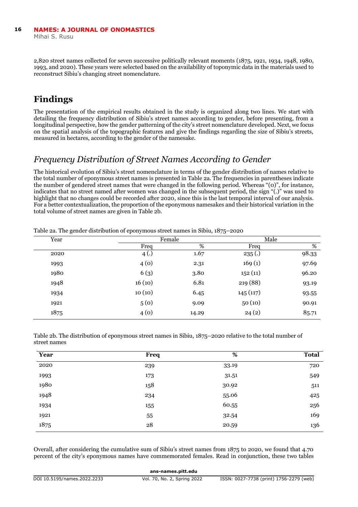2,820 street names collected for seven successive politically relevant moments (1875, 1921, 1934, 1948, 1980, 1993, and 2020). These years were selected based on the availability of toponymic data in the materials used to reconstruct Sibiu's changing street nomenclature.

# **Findings**

The presentation of the empirical results obtained in the study is organized along two lines. We start with detailing the frequency distribution of Sibiu's street names according to gender, before presenting, from a longitudinal perspective, how the gender patterning of the city's street nomenclature developed. Next, we focus on the spatial analysis of the topographic features and give the findings regarding the size of Sibiu's streets, measured in hectares, according to the gender of the namesake.

# *Frequency Distribution of Street Names According to Gender*

The historical evolution of Sibiu's street nomenclature in terms of the gender distribution of names relative to the total number of eponymous street names is presented in Table 2a. The frequencies in parentheses indicate the number of gendered street names that were changed in the following period. Whereas "(0)", for instance, indicates that no street named after women was changed in the subsequent period, the sign "(.)" was used to highlight that no changes could be recorded after 2020, since this is the last temporal interval of our analysis. For a better contextualization, the proportion of the eponymous namesakes and their historical variation in the total volume of street names are given in Table 2b.

| Year |        | Female |          | Male  |
|------|--------|--------|----------|-------|
|      | Freq   | %      | Freq     | %     |
| 2020 | 4(.)   | 1.67   | 235(.)   | 98.33 |
| 1993 | 4(0)   | 2.31   | 169(1)   | 97.69 |
| 1980 | 6(3)   | 3.80   | 152(11)  | 96.20 |
| 1948 | 16(10) | 6.81   | 219 (88) | 93.19 |
| 1934 | 10(10) | 6.45   | 145(117) | 93.55 |
| 1921 | 5(0)   | 9.09   | 50(10)   | 90.91 |
| 1875 | 4(0)   | 14.29  | 24(2)    | 85.71 |

Table 2a. The gender distribution of eponymous street names in Sibiu, 1875–2020

Table 2b. The distribution of eponymous street names in Sibiu, 1875–2020 relative to the total number of street names

| Year | Freq | %     | <b>Total</b> |
|------|------|-------|--------------|
| 2020 | 239  | 33.19 | 720          |
| 1993 | 173  | 31.51 | 549          |
| 1980 | 158  | 30.92 | 511          |
| 1948 | 234  | 55.06 | 425          |
| 1934 | 155  | 60.55 | 256          |
| 1921 | 55   | 32.54 | 169          |
| 1875 | 28   | 20.59 | 136          |

Overall, after considering the cumulative sum of Sibiu's street names from 1875 to 2020, we found that 4.70 percent of the city's eponymous names have commemorated females. Read in conjunction, these two tables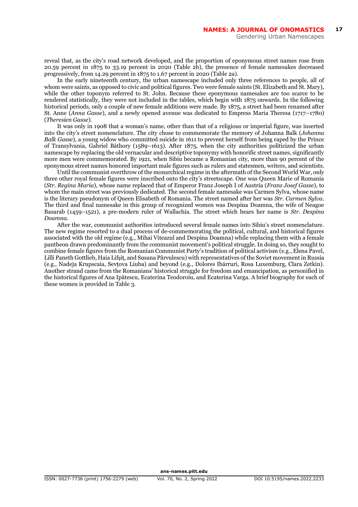reveal that, as the city's road network developed, and the proportion of eponymous street names rose from 20.59 percent in 1875 to 33.19 percent in 2020 (Table 2b), the presence of female namesakes decreased progressively, from 14.29 percent in 1875 to 1.67 percent in 2020 (Table 2a).

In the early nineteenth century, the urban namescape included only three references to people, all of whom were saints, as opposed to civic and political figures. Two were female saints (St. Elizabeth and St. Mary), while the other toponym referred to St. John. Because these eponymous namesakes are too scarce to be rendered statistically, they were not included in the tables, which begin with 1875 onwards. In the following historical periods, only a couple of new female additions were made. By 1875, a street had been renamed after St. Anne (*Anna Gasse*), and a newly opened avenue was dedicated to Empress Maria Theresa (1717–1780) (*Theresien Gasse*).

It was only in 1908 that a woman's name, other than that of a religious or imperial figure, was inserted into the city's street nomenclature. The city chose to commemorate the memory of Johanna Balk (*Johanna Balk Gasse*), a young widow who committed suicide in 1611 to prevent herself from being raped by the Prince of Transylvania, Gabriel Báthory (1589–1613). After 1875, when the city authorities politicized the urban namescape by replacing the old vernacular and descriptive toponymy with honorific street names, significantly more men were commemorated. By 1921, when Sibiu became a Romanian city, more than 90 percent of the eponymous street names honored important male figures such as rulers and statesmen, writers, and scientists.

Until the communist overthrow of the monarchical regime in the aftermath of the Second World War, only three other royal female figures were inscribed onto the city's streetscape. One was Queen Marie of Romania (*Str. Regina Maria*), whose name replaced that of Emperor Franz Joseph I of Austria (*Franz Josef Gasse*), to whom the main street was previously dedicated. The second female namesake was Carmen Sylva, whose name is the literary pseudonym of Queen Elisabeth of Romania. The street named after her was *Str. Carmen Sylva*. The third and final namesake in this group of recognized women was Despina Doamna, the wife of Neagoe Basarab (1459–1521), a pre-modern ruler of Wallachia. The street which bears her name is *Str. Despina Doamna*.

After the war, communist authorities introduced several female names into Sibiu's street nomenclature. The new regime resorted to a dual process of de-commemorating the political, cultural, and historical figures associated with the old regime (e.g., Mihai Viteazul and Despina Doamna) while replacing them with a female pantheon drawn predominantly from the communist movement's political struggle. In doing so, they sought to combine female figures from the Romanian Communist Party's tradition of political activism (e.g., Elena Pavel, Lilli Paneth Gottlieb, Haia Lifșiț, and Susana Pârvulescu) with representatives of the Soviet movement in Russia (e.g., Nadeja Krupscaia, Sevțova Liuba) and beyond (e.g., Dolores Ibárruri, Rosa Luxemburg, Clara Zetkin). Another strand came from the Romanians' historical struggle for freedom and emancipation, as personified in the historical figures of Ana Ipătescu, Ecaterina Teodoroiu, and Ecaterina Varga. A brief biography for each of these women is provided in Table 3.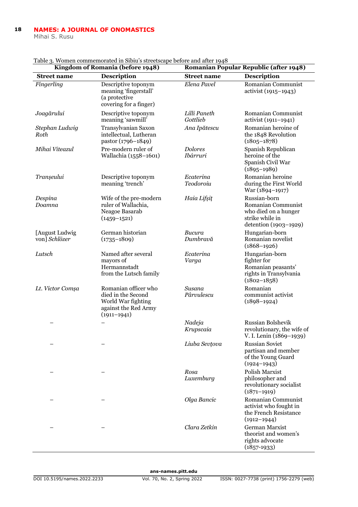#### **NAMES: A JOURNAL OF ONOMASTICS 18**

Mihai S. Rusu

| Table 5. Women commemorated in biblic s streetscape before and after 1940<br>Romanian Popular Republic (after 1948)<br>Kingdom of Romania (before 1948) |                                                                                                             |                            |                                                                                                        |
|---------------------------------------------------------------------------------------------------------------------------------------------------------|-------------------------------------------------------------------------------------------------------------|----------------------------|--------------------------------------------------------------------------------------------------------|
| <b>Street name</b>                                                                                                                                      | <b>Description</b>                                                                                          | <b>Street name</b>         | <b>Description</b>                                                                                     |
| Fingerling                                                                                                                                              | Descriptive toponym<br>meaning 'fingerstall'<br>(a protective<br>covering for a finger)                     | Elena Pavel                | Romanian Communist<br>activist (1915–1943)                                                             |
| Joagărului                                                                                                                                              | Descriptive toponym<br>meaning 'sawmill'                                                                    | Lilli Paneth<br>Gottlieb   | Romanian Communist<br>activist (1911-1941)                                                             |
| Stephan Ludwig<br>Roth                                                                                                                                  | Transylvanian Saxon<br>intellectual, Lutheran<br>pastor (1796-1849)                                         | Ana Ipătescu               | Romanian heroine of<br>the 1848 Revolution<br>$(1805 - 1878)$                                          |
| Mihai Viteazul                                                                                                                                          | Pre-modern ruler of<br>Wallachia (1558-1601)                                                                | <b>Dolores</b><br>Ibárruri | Spanish Republican<br>heroine of the<br>Spanish Civil War<br>$(1895 - 1989)$                           |
| Tranșeului                                                                                                                                              | Descriptive toponym<br>meaning 'trench'                                                                     | Ecaterina<br>Teodoroiu     | Romanian heroine<br>during the First World<br>War (1894–1917)                                          |
| Despina<br>Doamna                                                                                                                                       | Wife of the pre-modern<br>ruler of Wallachia,<br>Neagoe Basarab<br>$(1459 - 1521)$                          | Haia Lifșiț                | Russian-born<br>Romanian Communist<br>who died on a hunger<br>strike while in<br>detention (1903-1929) |
| [August Ludwig<br>von] Schlözer                                                                                                                         | German historian<br>$(1735 - 1809)$                                                                         | Bucura<br>Dumbravă         | Hungarian-born<br>Romanian novelist<br>$(1868 - 1926)$                                                 |
| Lutsch                                                                                                                                                  | Named after several<br>mayors of<br>Hermannstadt<br>from the Lutsch family                                  | Ecaterina<br>Varga         | Hungarian-born<br>fighter for<br>Romanian peasants'<br>rights in Transylvania<br>$(1802 - 1858)$       |
| Lt. Victor Comșa                                                                                                                                        | Romanian officer who<br>died in the Second<br>World War fighting<br>against the Red Army<br>$(1911 - 1941)$ | Susana<br>Pârvulescu       | Romanian<br>communist activist<br>$(1898 - 1924)$                                                      |
|                                                                                                                                                         |                                                                                                             | Nadeja<br>Krupscaia        | Russian Bolshevik<br>revolutionary, the wife of<br>V. I. Lenin (1869–1939)                             |
|                                                                                                                                                         |                                                                                                             | Liuba Sevțova              | Russian Soviet<br>partisan and member<br>of the Young Guard<br>$(1924 - 1943)$                         |
|                                                                                                                                                         |                                                                                                             | Rosa<br>Luxemburg          | Polish Marxist<br>philosopher and<br>revolutionary socialist<br>$(1871 - 1919)$                        |
|                                                                                                                                                         |                                                                                                             | Olga Bancic                | Romanian Communist<br>activist who fought in<br>the French Resistance<br>$(1912 - 1944)$               |
|                                                                                                                                                         |                                                                                                             | Clara Zetkin               | German Marxist<br>theorist and women's<br>rights advocate<br>$(1857-1933)$                             |

Table 3. Women commemorated in Sibiu's streetscape before and after 1948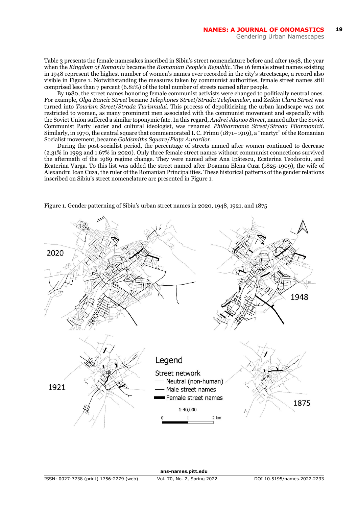Table 3 presents the female namesakes inscribed in Sibiu's street nomenclature before and after 1948, the year when the *Kingdom of Romania* became the *Romanian People's Republic*. The 16 female street names existing in 1948 represent the highest number of women's names ever recorded in the city's streetscape, a record also visible in Figure 1. Notwithstanding the measures taken by communist authorities, female street names still comprised less than 7 percent (6.81%) of the total number of streets named after people.

By 1980, the street names honoring female communist activists were changed to politically neutral ones. For example, *Olga Bancic Street* became *Telephones Street*/*Strada Telefoanelor,* and *Zetkin Clara Street* was turned into *Tourism Street*/*Strada Turismului*. This process of depoliticizing the urban landscape was not restricted to women, as many prominent men associated with the communist movement and especially with the Soviet Union suffered a similar toponymic fate. In this regard, *Andrei Jdanov Street*, named after the Soviet Communist Party leader and cultural ideologist, was renamed *Philharmonic Street*/*Strada Filarmonicii*. Similarly, in 1970, the central square that commemorated I. C. Frimu (1871–1919), a "martyr" of the Romanian Socialist movement, became *Goldsmiths Square*/*Piața Aurarilor*.

During the post-socialist period, the percentage of streets named after women continued to decrease (2.31% in 1993 and 1.67% in 2020). Only three female street names without communist connections survived the aftermath of the 1989 regime change. They were named after Ana Ipătescu, Ecaterina Teodoroiu, and Ecaterina Varga. To this list was added the street named after Doamna Elena Cuza (1825-1909), the wife of Alexandru Ioan Cuza, the ruler of the Romanian Principalities. These historical patterns of the gender relations inscribed on Sibiu's street nomenclature are presented in Figure 1.



Figure 1. Gender patterning of Sibiu's urban street names in 2020, 1948, 1921, and 1875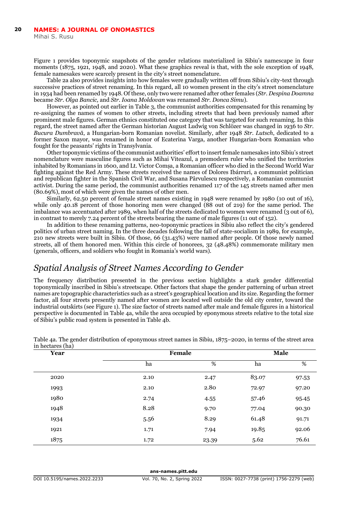Mihai S. Rusu

Figure 1 provides toponymic snapshots of the gender relations materialized in Sibiu's namescape in four moments (1875, 1921, 1948, and 2020). What these graphics reveal is that, with the sole exception of 1948, female namesakes were scarcely present in the city's street nomenclature.

Table 2a also provides insights into how females were gradually written off from Sibiu's city-text through successive practices of street renaming. In this regard, all 10 women present in the city's street nomenclature in 1934 had been renamed by 1948. Of these, only two were renamed after other females (*Str. Despina Doamna* became *Str. Olga Bancic,* and *Str. Ioana Moldovan* was renamed *Str. Donca Simu*).

However, as pointed out earlier in Table 3, the communist authorities compensated for this renaming by re-assigning the names of women to other streets, including streets that had been previously named after prominent male figures. German ethnics constituted one category that was targeted for such renaming. In this regard, the street named after the German historian August Ludwig von Schlözer was changed in 1936 to *Str. Bucura Dumbravă*, a Hungarian-born Romanian novelist. Similarly, after 1948 *Str. Lutsch*, dedicated to a former Saxon mayor, was renamed in honor of Ecaterina Varga, another Hungarian-born Romanian who fought for the peasants' rights in Transylvania.

Other toponymic victims of the communist authorities' effort to insert female namesakes into Sibiu's street nomenclature were masculine figures such as Mihai Viteazul, a premodern ruler who unified the territories inhabited by Romanians in 1600, and Lt. Victor Comșa, a Romanian officer who died in the Second World War fighting against the Red Army. These streets received the names of Dolores Ibárruri, a communist politician and republican fighter in the Spanish Civil War, and Susana Pârvulescu respectively, a Romanian communist activist. During the same period, the communist authorities renamed 117 of the 145 streets named after men (80.69%), most of which were given the names of other men.

Similarly, 62.50 percent of female street names existing in 1948 were renamed by 1980 (10 out of 16), while only 40.18 percent of those honoring men were changed (88 out of 219) for the same period. The imbalance was accentuated after 1989, when half of the streets dedicated to women were renamed (3 out of 6), in contrast to merely 7.24 percent of the streets bearing the name of male figures (11 out of 152).

In addition to these renaming patterns, neo-toponymic practices in Sibiu also reflect the city's gendered politics of urban street naming. In the three decades following the fall of state-socialism in 1989, for example, 210 new streets were built in Sibiu. Of those, 66 (31.43%) were named after people. Of those newly named streets, all of them honored men. Within this circle of honorees, 32 (48.48%) commemorate military men (generals, officers, and soldiers who fought in Romania's world wars).

#### *Spatial Analysis of Street Names According to Gender*

The frequency distribution presented in the previous section highlights a stark gender differential toponymically inscribed in Sibiu's streetscape. Other factors that shape the gender patterning of urban street names are topographic characteristics such as a street's geographical location and its size. Regarding the former factor, all four streets presently named after women are located well outside the old city center, toward the industrial outskirts (see Figure 1). The size factor of streets named after male and female figures in a historical perspective is documented in Table 4a, while the area occupied by eponymous streets relative to the total size of Sibiu's public road system is presented in Table 4b.

| Year | Female |       |       | Male  |  |
|------|--------|-------|-------|-------|--|
|      | ha     | %     | ha    | %     |  |
| 2020 | 2.10   | 2.47  | 83.07 | 97.53 |  |
| 1993 | 2.10   | 2.80  | 72.97 | 97.20 |  |
| 1980 | 2.74   | 4.55  | 57.46 | 95.45 |  |
| 1948 | 8.28   | 9.70  | 77.04 | 90.30 |  |
| 1934 | 5.56   | 8.29  | 61.48 | 91.71 |  |
| 1921 | 1.71   | 7.94  | 19.85 | 92.06 |  |
| 1875 | 1.72   | 23.39 | 5.62  | 76.61 |  |

Table 4a. The gender distribution of eponymous street names in Sibiu, 1875–2020, in terms of the street area in hectares (ha)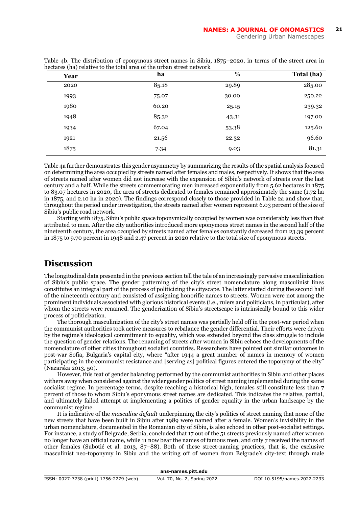| Year | ha    | %     | Total (ha) |
|------|-------|-------|------------|
| 2020 | 85.18 | 29.89 | 285.00     |
| 1993 | 75.07 | 30.00 | 250.22     |
| 1980 | 60.20 | 25.15 | 239.32     |
| 1948 | 85.32 | 43.31 | 197.00     |
| 1934 | 67.04 | 53.38 | 125.60     |
| 1921 | 21.56 | 22.32 | 96.60      |
| 1875 | 7.34  | 9.03  | 81.31      |
|      |       |       |            |

Table 4b. The distribution of eponymous street names in Sibiu, 1875–2020, in terms of the street area in hectares (ha) relative to the total area of the urban street network

Table 4a further demonstrates this gender asymmetry by summarizing the results of the spatial analysis focused on determining the area occupied by streets named after females and males, respectively. It shows that the area of streets named after women did not increase with the expansion of Sibiu's network of streets over the last century and a half. While the streets commemorating men increased exponentially from 5.62 hectares in 1875 to 83.07 hectares in 2020, the area of streets dedicated to females remained approximately the same (1.72 ha in 1875, and 2.10 ha in 2020). The findings correspond closely to those provided in Table 2a and show that, throughout the period under investigation, the streets named after women represent 6.03 percent of the size of Sibiu's public road network.

Starting with 1875, Sibiu's public space toponymically occupied by women was considerably less than that attributed to men. After the city authorities introduced more eponymous street names in the second half of the nineteenth century, the area occupied by streets named after females constantly decreased from 23.39 percent in 1875 to 9.70 percent in 1948 and 2.47 percent in 2020 relative to the total size of eponymous streets.

# **Discussion**

The longitudinal data presented in the previous section tell the tale of an increasingly pervasive masculinization of Sibiu's public space. The gender patterning of the city's street nomenclature along masculinist lines constitutes an integral part of the process of politicizing the cityscape. The latter started during the second half of the nineteenth century and consisted of assigning honorific names to streets. Women were not among the prominent individuals associated with glorious historical events (i.e., rulers and politicians, in particular), after whom the streets were renamed. The genderization of Sibiu's streetscape is intrinsically bound to this wider process of politicization.

The thorough masculinization of the city's street names was partially held off in the post-war period when the communist authorities took active measures to rebalance the gender differential. Their efforts were driven by the regime's ideological commitment to equality, which was extended beyond the class struggle to include the question of gender relations. The renaming of streets after women in Sibiu echoes the developments of the nomenclature of other cities throughout socialist countries. Researchers have pointed out similar outcomes in post-war Sofia, Bulgaria's capital city, where "after 1944 a great number of names in memory of women participating in the communist resistance and [serving as] political figures entered the toponymy of the city" (Nazarska 2013, 50).

However, this feat of gender balancing performed by the communist authorities in Sibiu and other places withers away when considered against the wider gender politics of street naming implemented during the same socialist regime. In percentage terms, despite reaching a historical high, females still constitute less than 7 percent of those to whom Sibiu's eponymous street names are dedicated. This indicates the relative, partial, and ultimately failed attempt at implementing a politics of gender equality in the urban landscape by the communist regime.

It is indicative of the *masculine default* underpinning the city's politics of street naming that none of the new streets that have been built in Sibiu after 1989 were named after a female. Women's invisibility in the urban nomenclature, documented in the Romanian city of Sibiu, is also echoed in other post-socialist settings. For instance, a study of Belgrade, Serbia, concluded that 17 out of the 51 streets previously named after women no longer have an official name, while 11 now bear the names of famous men, and only 7 received the names of other females (Subotić et al. 2013, 87–88). Both of these street-naming practices, that is, the exclusive masculinist neo-toponymy in Sibiu and the writing off of women from Belgrade's city-text through male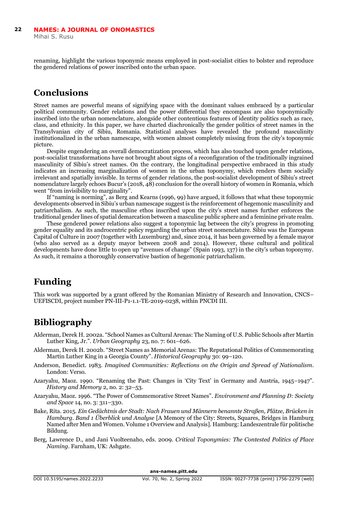renaming, highlight the various toponymic means employed in post-socialist cities to bolster and reproduce the gendered relations of power inscribed onto the urban space.

# **Conclusions**

Street names are powerful means of signifying space with the dominant values embraced by a particular political community. Gender relations and the power differential they encompass are also toponymically inscribed into the urban nomenclature, alongside other contentious features of identity politics such as race, class, and ethnicity. In this paper, we have charted diachronically the gender politics of street names in the Transylvanian city of Sibiu, Romania. Statistical analyses have revealed the profound masculinity institutionalized in the urban namescape, with women almost completely missing from the city's toponymic picture.

Despite engendering an overall democratization process, which has also touched upon gender relations, post-socialist transformations have not brought about signs of a reconfiguration of the traditionally ingrained masculinity of Sibiu's street names. On the contrary, the longitudinal perspective embraced in this study indicates an increasing marginalization of women in the urban toponymy, which renders them socially irrelevant and spatially invisible. In terms of gender relations, the post-socialist development of Sibiu's street nomenclature largely echoes Bucur's (2018, 48) conclusion for the overall history of women in Romania, which went "from invisibility to marginality".

If "naming is norming", as Berg and Kearns (1996, 99) have argued, it follows that what these toponymic developments observed in Sibiu's urban namescape suggest is the reinforcement of hegemonic masculinity and patriarchalism. As such, the masculine ethos inscribed upon the city's street names further enforces the traditional gender lines of spatial demarcation between a masculine public sphere and a feminine private realm.

These gendered power relations also suggest a toponymic lag between the city's progress in promoting gender equality and its androcentric policy regarding the urban street nomenclature. Sibiu was the European Capital of Culture in 2007 (together with Luxemburg) and, since 2014, it has been governed by a female mayor (who also served as a deputy mayor between 2008 and 2014). However, these cultural and political developments have done little to open up "avenues of change" (Spain 1993, 137) in the city's urban toponymy. As such, it remains a thoroughly conservative bastion of hegemonic patriarchalism.

### **Funding**

This work was supported by a grant offered by the Romanian Ministry of Research and Innovation, CNCS– UEFISCDI, project number PN-III-P1-1.1-TE-2019-0238, within PNCDI III.

# **Bibliography**

- Alderman, Derek H. 2002a. "School Names as Cultural Arenas: The Naming of U.S. Public Schools after Martin Luther King, Jr.". *Urban Geography* 23, no. 7: 601–626.
- Alderman, Derek H. 2002b. "Street Names as Memorial Arenas: The Reputational Politics of Commemorating Martin Luther King in a Georgia County". *Historical Geography* 30: 99–120.
- Anderson, Benedict. 1983. *Imagined Communities: Reflections on the Origin and Spread of Nationalism*. London: Verso.
- Azaryahu, Maoz. 1990. "Renaming the Past: Changes in 'City Text' in Germany and Austria, 1945–1947". *History and Memory* 2, no. 2: 32–53.
- Azaryahu, Maoz. 1996. "The Power of Commemorative Street Names". *Environment and Planning D: Society and Space* 14, no. 3: 311–330.
- Bake, Rita. 2015. *Ein Gedächtnis der Stadt: Nach Frauen und Männern benannte Straßen, Plätze, Brücken in Hamburg. Band 1 Überblick und Analyse* [A Memory of the City: Streets, Squares, Bridges in Hamburg Named after Men and Women. Volume 1 Overview and Analysis]. Hamburg: Landeszentrale für politische Bildung.
- Berg, Lawrence D., and Jani Vuolteenaho, eds. 2009. *Critical Toponymies: The Contested Politics of Place Naming*. Farnham, UK: Ashgate.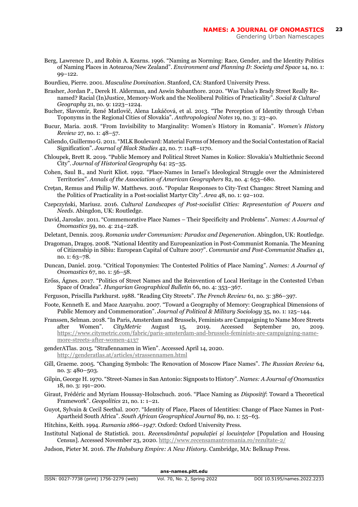- Berg, Lawrence D., and Robin A. Kearns. 1996. "Naming as Norming: Race, Gender, and the Identity Politics of Naming Places in Aotearoa/New Zealand". *Environment and Planning D: Society and Space* 14, no. 1: 99–122.
- Bourdieu, Pierre. 2001. *Masculine Domination*. Stanford, CA: Stanford University Press.
- Brasher, Jordan P., Derek H. Alderman, and Aswin Subanthore. 2020. "Was Tulsa's Brady Street Really Renamed? Racial (In)Justice, Memory-Work and the Neoliberal Politics of Practicality". *Social & Cultural Geography* 21, no. 9: 1223–1224.
- Bucher, Slavomír, René Matlovič, Alena Lukáčová, et al. 2013. "The Perception of Identity through Urban Toponyms in the Regional Cities of Slovakia". *Anthropological Notes* 19, no. 3: 23–40.
- Bucur, Maria. 2018. "From Invisibility to Marginality: Women's History in Romania". *Women's History Review* 27, no. 1: 48–57.
- Caliendo, Guillermo G. 2011. "MLK Boulevard: Material Forms of Memory and the Social Contestation of Racial Signification". *Journal of Black Studies* 42, no. 7: 1148–1170.
- Chloupek, Brett R. 2019. "Public Memory and Political Street Names in Košice: Slovakia's Multiethnic Second City". *Journal of Historical Geography* 64: 25–35.
- Cohen, Saul B., and Nurit Kliot. 1992. "Place‐Names in Israel's Ideological Struggle over the Administered Territories". *Annals of the Association of American Geographers* 82, no. 4: 653–680.
- Crețan, Remus and Philip W. Matthews. 2016. "Popular Responses to City‐Text Changes: Street Naming and the Politics of Practicality in a Post‐socialist Martyr City". *Area* 48, no. 1: 92–102.
- Czepczyński, Mariusz. 2016. *Cultural Landscapes of Post-socialist Cities: Representation of Powers and Needs*. Abingdon, UK: Routledge.
- David, Jaroslav. 2011. "Commemorative Place Names Their Specificity and Problems". *Names: A Journal of Onomastics* 59, no. 4: 214–228.
- Deletant, Dennis. 2019. *Romania under Communism: Paradox and Degeneration*. Abingdon, UK: Routledge.
- Dragoman, Dragoș. 2008. "National Identity and Europeanization in Post-Communist Romania. The Meaning of Citizenship in Sibiu: European Capital of Culture 2007". *Communist and Post-Communist Studies* 41, no. 1: 63–78.
- Duncan, Daniel. 2019. "Critical Toponymies: The Contested Politics of Place Naming". *Names: A Journal of Onomastics* 67, no. 1: 56–58.
- Erőss, Ágnes. 2017. "Politics of Street Names and the Reinvention of Local Heritage in the Contested Urban Space of Oradea". *Hungarian Geographical Bulletin* 66, no. 4: 353–367.
- Ferguson, Priscilla Parkhurst. 1988. "Reading City Streets". *The French Review* 61, no. 3: 386–397.
- Foote, Kenneth E. and Maoz Azaryahu. 2007. "Toward a Geography of Memory: Geographical Dimensions of Public Memory and Commemoration". *Journal of Political & Military Sociology* 35, no. 1: 125–144.
- Franssen, Selman. 2018. "In Paris, Amsterdam and Brussels, Feminists are Campaigning to Name More Streets after Women". *CityMetric* August 15, 2019. Accessed September 20, 2019. [https://www.citymetric.com/fabric/paris-amsterdam-and-brussels-feminists-are-campaigning-name](https://www.citymetric.com/fabric/paris-amsterdam-and-brussels-feminists-are-campaigning-name-more-streets-after-women-4137)[more-streets-after-women-4137](https://www.citymetric.com/fabric/paris-amsterdam-and-brussels-feminists-are-campaigning-name-more-streets-after-women-4137)
- genderATlas. 2015. "Straßennamen in Wien". Accessed April 14, 2020. <http://genderatlas.at/articles/strassennamen.html>
- Gill, Graeme. 2005. "Changing Symbols: The Renovation of Moscow Place Names". *The Russian Review* 64, no. 3: 480–503.
- Gilpin, George H. 1970. "Street-Names in San Antonio: Signposts to History". *Names: A Journal of Onomastics* 18, no. 3: 191–200.
- Giraut, Frédéric and Myriam Houssay-Holzschuch. 2016. "Place Naming as *Dispositif*: Toward a Theoretical Framework". *Geopolitics* 21, no. 1: 1–21.
- Guyot, Sylvain & Cecil Seethal. 2007. "Identity of Place, Places of Identities: Change of Place Names in Post-Apartheid South Africa". *South African Geographical Journal* 89, no. 1: 55–63.

Hitchins, Keith. 1994. *Rumania 1866–1947*. Oxford: Oxford University Press.

- Institutul Național de Statistică. 2011. *Recensământul populației și locuințelor* [Population and Housing Census]. Accessed November 23, 2020[. http://www.recensamantromania.ro/rezultate-2/](http://www.recensamantromania.ro/rezultate-2/)
- Judson, Pieter M. 2016. *The Habsburg Empire: A New History*. Cambridge, MA: Belknap Press.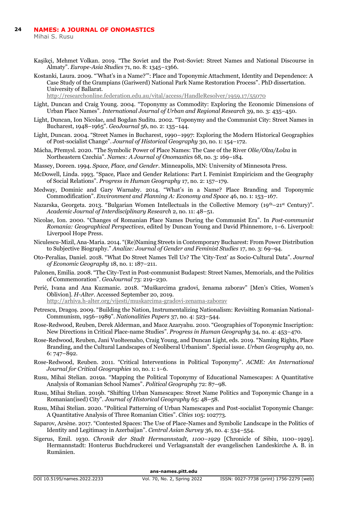Mihai S. Rusu

- Kaşikçi, Mehmet Volkan. 2019. "The Soviet and the Post-Soviet: Street Names and National Discourse in Almaty". *Europe-Asia Studies* 71, no. 8: 1345–1366.
- Kostanki, Laura. 2009. "'What's in a Name?'": Place and Toponymic Attachment, Identity and Dependence: A Case Study of the Grampians (Gariwerd) National Park Name Restoration Process". PhD dissertation. University of Ballarat.

<http://researchonline.federation.edu.au/vital/access/HandleResolver/1959.17/55070>

- Light, Duncan and Craig Young. 2004. "Toponymy as Commodity: Exploring the Economic Dimensions of Urban Place Names". *International Journal of Urban and Regional Research* 39, no. 3: 435–450.
- Light, Duncan, Ion Nicolae, and Bogdan Suditu. 2002. "Toponymy and the Communist City: Street Names in Bucharest, 1948–1965". *GeoJournal* 56, no. 2: 135–144.
- Light, Duncan. 2004. "Street Names in Bucharest, 1990–1997: Exploring the Modern Historical Geographies of Post-socialist Change". *Journal of Historical Geography* 30, no. 1: 154–172.
- Mácha, Přemysl. 2020. "The Symbolic Power of Place Names: The Case of the River *Olše/Olza/Łolza* in Northeastern Czechia". *Names: A Journal of Onomastic*s 68, no. 3: 169–184.
- Massey, Doreen. 1994. *Space, Place, and Gender*. Minneapolis, MN: University of Minnesota Press.
- McDowell, Linda. 1993. "Space, Place and Gender Relations: Part I. Feminist Empiricism and the Geography of Social Relations". *Progress in Human Geography* 17, no. 2: 157–179.
- Medway, Dominic and Gary Warnaby. 2014. "What's in a Name? Place Branding and Toponymic Commodification". *Environment and Planning A: Economy and Space* 46, no. 1: 153–167.
- Nazarska, Georgeta. 2013. "Bulgarian Women Intellectuals in the Collective Memory (19th–21st Century)". *Academic Journal of Interdisciplinary Research* 2, no. 11: 48–51.
- Nicolae, Ion. 2000. "Changes of Romanian Place Names During the Communist Era". In *Post-communist Romania: Geographical Perspectives*, edited by Duncan Young and David Phinnemore, 1–6. Liverpool: Liverpool Hope Press.
- Niculescu-Mizil, Ana-Maria. 2014. "(Re)Naming Streets in Contemporary Bucharest: From Power Distribution to Subjective Biography." *Analize: Journal of Gender and Feminist Studies* 17, no. 3: 69–94.
- Oto-Peralías, Daniel. 2018. "What Do Street Names Tell Us? The 'City-Text' as Socio-Cultural Data". *Journal of Economic Geography* 18, no. 1: 187–211.
- Palonen, Emilia. 2008. "The City-Text in Post-communist Budapest: Street Names, Memorials, and the Politics of Commemoration". *GeoJournal* 73: 219–230.
- Perić, Ivana and Ana Kuzmanic. 2018. "Muškarcima gradovi, ženama zaborav" [Men's Cities, Women's Oblivion]. *H-Alter*. Accessed September 20, 2019.
	- <http://arhiva.h-alter.org/vijesti/muskarcima-gradovi-zenama-zaborav>
- Petrescu, Dragoș. 2009. "Building the Nation, Instrumentalizing Nationalism: Revisiting Romanian National-Communism, 1956–1989". *Nationalities Papers* 37, no. 4: 523–544.
- Rose-Redwood, Reuben, Derek Alderman, and Maoz Azaryahu. 2010. "Geographies of Toponymic Inscription: New Directions in Critical Place-name Studies". *Progress in Human Geography* 34, no. 4: 453–470.
- Rose-Redwood, Reuben, Jani Vuolteenaho, Craig Young, and Duncan Light, eds. 2019. "Naming Rights, Place Branding, and the Cultural Landscapes of Neoliberal Urbanism". Special issue. *Urban Geography* 40, no. 6: 747–892.
- Rose-Redwood, Reuben. 2011. "Critical Interventions in Political Toponymy". *ACME: An International Journal for Critical Geographies* 10, no. 1: 1–6.
- Rusu, Mihai Stelian. 2019a. "Mapping the Political Toponymy of Educational Namescapes: A Quantitative Analysis of Romanian School Names". *Political Geography* 72: 87–98.
- Rusu, Mihai Stelian. 2019b. "Shifting Urban Namescapes: Street Name Politics and Toponymic Change in a Romanian(ised) City". *Journal of Historical Geography* 65: 48–58.
- Rusu, Mihai Stelian. 2020. "Political Patterning of Urban Namescapes and Post-socialist Toponymic Change: A Quantitative Analysis of Three Romanian Cities". *Cities* 105: 102773.
- Saparov, Arsène. 2017. "Contested Spaces: The Use of Place-Names and Symbolic Landscape in the Politics of Identity and Legitimacy in Azerbaijan". *Central Asian Survey* 36, no. 4: 534–554.
- Sigerus, Emil. 1930. *Chronik der Stadt Hermannstadt, 1100–1929* [Chronicle of Sibiu, 1100–1929]. Hermannstadt: Honterus Buchdruckerei und Verlagsanstalt der evangelischen Landeskirche A. B. in Rumänien.